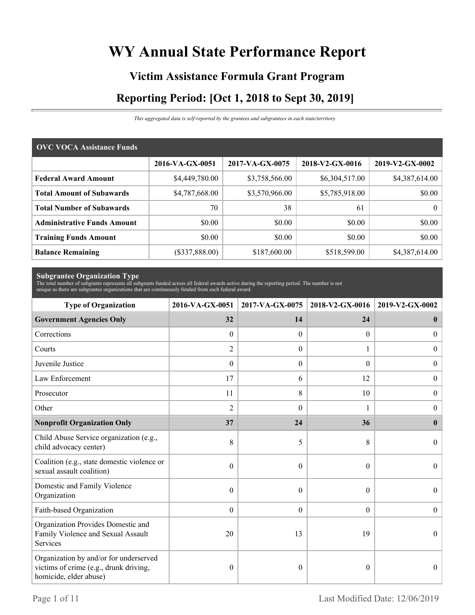# **WY Annual State Performance Report**

# **Victim Assistance Formula Grant Program Reporting Period: [Oct 1, 2018 to Sept 30, 2019]**

*This aggregated data is self-reported by the grantees and subgrantees in each state/territory.*

| <b>OVC VOCA Assistance Funds</b>   |                 |                 |                 |                 |  |
|------------------------------------|-----------------|-----------------|-----------------|-----------------|--|
|                                    | 2016-VA-GX-0051 | 2017-VA-GX-0075 | 2018-V2-GX-0016 | 2019-V2-GX-0002 |  |
| <b>Federal Award Amount</b>        | \$4,449,780.00  | \$3,758,566.00  | \$6,304,517.00  | \$4,387,614.00  |  |
| <b>Total Amount of Subawards</b>   | \$4,787,668.00  | \$3,570,966.00  | \$5,785,918.00  | \$0.00          |  |
| <b>Total Number of Subawards</b>   | 70              | 38              | 61              | $\theta$        |  |
| <b>Administrative Funds Amount</b> | \$0.00          | \$0.00          | \$0.00          | \$0.00          |  |
| <b>Training Funds Amount</b>       | \$0.00          | \$0.00          | \$0.00          | \$0.00          |  |
| <b>Balance Remaining</b>           | (\$337,888.00)  | \$187,600.00    | \$518,599.00    | \$4,387,614.00  |  |

**Subgrantee Organization Type** The total number of subgrants represents all subgrants funded across all federal awards active during the reporting period. The number is not unique as there are subgrantee organizations that are continuously funded from each federal award.

| <b>Type of Organization</b>                                                                                | 2016-VA-GX-0051  | 2017-VA-GX-0075 | 2018-V2-GX-0016  | 2019-V2-GX-0002  |
|------------------------------------------------------------------------------------------------------------|------------------|-----------------|------------------|------------------|
| <b>Government Agencies Only</b>                                                                            | 32               | 14              | 24               | $\bf{0}$         |
| Corrections                                                                                                | $\mathbf{0}$     | $\theta$        | $\overline{0}$   | $\overline{0}$   |
| Courts                                                                                                     | $\overline{c}$   | $\Omega$        | 1                | $\overline{0}$   |
| Juvenile Justice                                                                                           | $\boldsymbol{0}$ | $\theta$        | $\theta$         | $\boldsymbol{0}$ |
| Law Enforcement                                                                                            | 17               | 6               | 12               | $\boldsymbol{0}$ |
| Prosecutor                                                                                                 | 11               | 8               | 10               | $\boldsymbol{0}$ |
| Other                                                                                                      | $\overline{2}$   | $\Omega$        |                  | $\boldsymbol{0}$ |
| <b>Nonprofit Organization Only</b>                                                                         | 37               | 24              | 36               | $\mathbf{0}$     |
| Child Abuse Service organization (e.g.,<br>child advocacy center)                                          | 8                | 5               | 8                | $\Omega$         |
| Coalition (e.g., state domestic violence or<br>sexual assault coalition)                                   | $\theta$         | $\theta$        | $\theta$         | $\Omega$         |
| Domestic and Family Violence<br>Organization                                                               | $\theta$         | $\Omega$        | $\theta$         | $\theta$         |
| Faith-based Organization                                                                                   | $\mathbf{0}$     | $\theta$        | $\boldsymbol{0}$ | $\mathbf{0}$     |
| Organization Provides Domestic and<br>Family Violence and Sexual Assault<br>Services                       | 20               | 13              | 19               | $\theta$         |
| Organization by and/or for underserved<br>victims of crime (e.g., drunk driving,<br>homicide, elder abuse) | $\boldsymbol{0}$ | $\theta$        | $\theta$         | $\theta$         |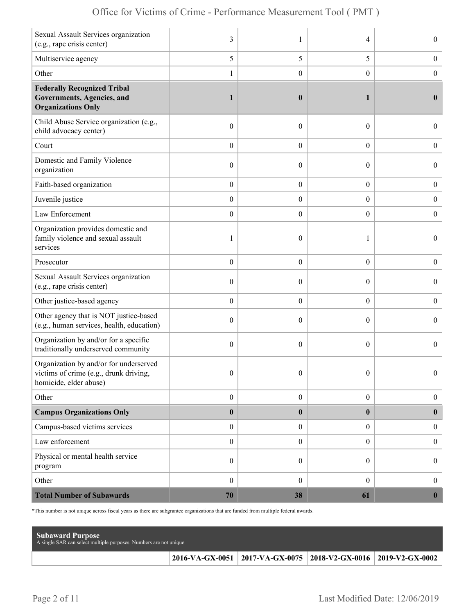| Sexual Assault Services organization<br>(e.g., rape crisis center)                                        | 3                |                  | 4                | $\overline{0}$   |
|-----------------------------------------------------------------------------------------------------------|------------------|------------------|------------------|------------------|
| Multiservice agency                                                                                       | 5                | 5                | 5                | $\boldsymbol{0}$ |
| Other                                                                                                     | 1                | $\overline{0}$   | $\overline{0}$   | $\boldsymbol{0}$ |
| <b>Federally Recognized Tribal</b><br>Governments, Agencies, and<br><b>Organizations Only</b>             | 1                | $\boldsymbol{0}$ | 1                | $\mathbf{0}$     |
| Child Abuse Service organization (e.g.,<br>child advocacy center)                                         | $\boldsymbol{0}$ | $\theta$         | $\theta$         | $\overline{0}$   |
| Court                                                                                                     | $\boldsymbol{0}$ | $\theta$         | $\overline{0}$   | $\overline{0}$   |
| Domestic and Family Violence<br>organization                                                              | $\boldsymbol{0}$ | $\theta$         | $\theta$         | $\overline{0}$   |
| Faith-based organization                                                                                  | $\boldsymbol{0}$ | $\boldsymbol{0}$ | $\boldsymbol{0}$ | $\boldsymbol{0}$ |
| Juvenile justice                                                                                          | $\boldsymbol{0}$ | $\overline{0}$   | $\overline{0}$   | $\boldsymbol{0}$ |
| Law Enforcement                                                                                           | $\boldsymbol{0}$ | $\theta$         | $\theta$         | $\mathbf{0}$     |
| Organization provides domestic and<br>family violence and sexual assault<br>services                      | 1                | $\mathbf{0}$     | 1                | $\overline{0}$   |
| Prosecutor                                                                                                | $\boldsymbol{0}$ | $\theta$         | $\overline{0}$   | $\boldsymbol{0}$ |
| Sexual Assault Services organization<br>(e.g., rape crisis center)                                        | $\boldsymbol{0}$ | $\theta$         | $\theta$         | $\overline{0}$   |
| Other justice-based agency                                                                                | $\boldsymbol{0}$ | $\boldsymbol{0}$ | $\boldsymbol{0}$ | $\boldsymbol{0}$ |
| Other agency that is NOT justice-based<br>(e.g., human services, health, education)                       | $\boldsymbol{0}$ | $\theta$         | $\theta$         | $\boldsymbol{0}$ |
| Organization by and/or for a specific<br>traditionally underserved community                              | $\mathbf{0}$     | $\theta$         | $\theta$         | $\overline{0}$   |
| Organization by and/or for underserved<br>victims of crime (e.g., drunk driving<br>homicide, elder abuse) | $\boldsymbol{0}$ | $\boldsymbol{0}$ | $\Omega$         | $\theta$         |
| Other                                                                                                     | $\boldsymbol{0}$ | $\boldsymbol{0}$ | $\boldsymbol{0}$ | $\boldsymbol{0}$ |
| <b>Campus Organizations Only</b>                                                                          | $\bf{0}$         | $\bf{0}$         | $\bf{0}$         | $\bf{0}$         |
| Campus-based victims services                                                                             | $\boldsymbol{0}$ | $\boldsymbol{0}$ | $\overline{0}$   | $\boldsymbol{0}$ |
| Law enforcement                                                                                           | $\boldsymbol{0}$ | $\mathbf{0}$     | $\overline{0}$   | $\boldsymbol{0}$ |
| Physical or mental health service<br>program                                                              | $\boldsymbol{0}$ | $\boldsymbol{0}$ | $\overline{0}$   | $\boldsymbol{0}$ |
| Other                                                                                                     | $\mathbf{0}$     | $\mathbf{0}$     | $\overline{0}$   | $\boldsymbol{0}$ |
| <b>Total Number of Subawards</b>                                                                          | 70               | 38               | 61               | $\boldsymbol{0}$ |

\*This number is not unique across fiscal years as there are subgrantee organizations that are funded from multiple federal awards.

| <b>Subaward Purpose</b><br>A single SAR can select multiple purposes. Numbers are not unique |                                                                 |  |
|----------------------------------------------------------------------------------------------|-----------------------------------------------------------------|--|
|                                                                                              | 2016-VA-GX-0051 2017-VA-GX-0075 2018-V2-GX-0016 2019-V2-GX-0002 |  |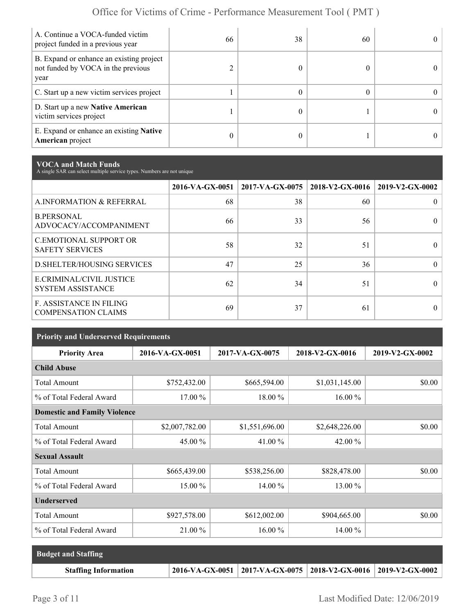| A. Continue a VOCA-funded victim<br>project funded in a previous year                  | 66 | 38 | 60 |  |
|----------------------------------------------------------------------------------------|----|----|----|--|
| B. Expand or enhance an existing project<br>not funded by VOCA in the previous<br>year |    |    |    |  |
| C. Start up a new victim services project                                              |    |    |    |  |
| D. Start up a new Native American<br>victim services project                           |    |    |    |  |
| E. Expand or enhance an existing <b>Native</b><br>American project                     | 0  |    |    |  |

**VOCA and Match Funds** A single SAR can select multiple service types. Numbers are not unique

|                                                              | 2016-VA-GX-0051 | $2017$ -VA-GX-0075 | 2018-V2-GX-0016 | 2019-V2-GX-0002 |
|--------------------------------------------------------------|-----------------|--------------------|-----------------|-----------------|
| A.INFORMATION & REFERRAL                                     | 68              | 38                 | 60              |                 |
| <b>B.PERSONAL</b><br>ADVOCACY/ACCOMPANIMENT                  | 66              | 33                 | 56              |                 |
| <b>C.EMOTIONAL SUPPORT OR</b><br><b>SAFETY SERVICES</b>      | 58              | 32                 | 51              |                 |
| <b>D. SHELTER/HOUSING SERVICES</b>                           | 47              | 25                 | 36              | $\theta$        |
| E.CRIMINAL/CIVIL JUSTICE<br><b>SYSTEM ASSISTANCE</b>         | 62              | 34                 | 51              |                 |
| <b>F. ASSISTANCE IN FILING</b><br><b>COMPENSATION CLAIMS</b> | 69              | 37                 | 61              | 0               |

| <b>Priority and Underserved Requirements</b> |                 |                 |                 |                 |  |
|----------------------------------------------|-----------------|-----------------|-----------------|-----------------|--|
| <b>Priority Area</b>                         | 2016-VA-GX-0051 | 2017-VA-GX-0075 | 2018-V2-GX-0016 | 2019-V2-GX-0002 |  |
| <b>Child Abuse</b>                           |                 |                 |                 |                 |  |
| <b>Total Amount</b>                          | \$752,432.00    | \$665,594.00    | \$1,031,145.00  | \$0.00          |  |
| % of Total Federal Award                     | 17.00 %         | 18.00 %         | 16.00 %         |                 |  |
| <b>Domestic and Family Violence</b>          |                 |                 |                 |                 |  |
| <b>Total Amount</b>                          | \$2,007,782.00  | \$1,551,696.00  | \$2,648,226.00  | \$0.00          |  |
| % of Total Federal Award                     | 45.00 %         | 41.00 %         | 42.00 $\%$      |                 |  |
| <b>Sexual Assault</b>                        |                 |                 |                 |                 |  |
| <b>Total Amount</b>                          | \$665,439.00    | \$538,256.00    | \$828,478.00    | \$0.00          |  |
| % of Total Federal Award                     | 15.00 %         | 14.00 %         | 13.00 %         |                 |  |
| <b>Underserved</b>                           |                 |                 |                 |                 |  |
| <b>Total Amount</b>                          | \$927,578.00    | \$612,002.00    | \$904,665.00    | \$0.00          |  |
| % of Total Federal Award                     | 21.00 %         | 16.00 %         | 14.00 %         |                 |  |

| <b>Budget and Staffing</b>  |                                                                          |  |
|-----------------------------|--------------------------------------------------------------------------|--|
| <b>Staffing Information</b> | $2016$ -VA-GX-0051   2017-VA-GX-0075   2018-V2-GX-0016   2019-V2-GX-0002 |  |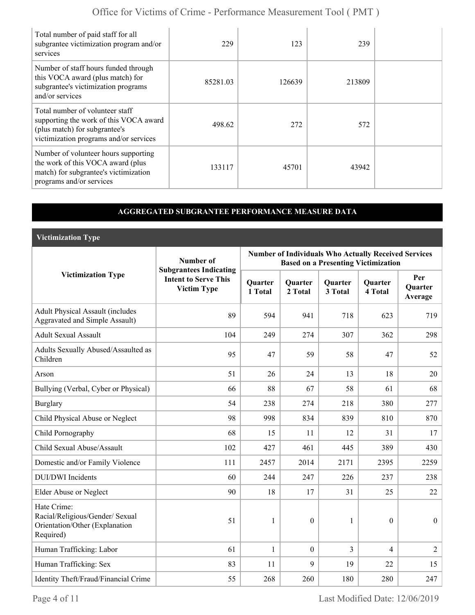| Total number of paid staff for all<br>subgrantee victimization program and/or<br>services                                                            | 229      | 123    | 239    |  |
|------------------------------------------------------------------------------------------------------------------------------------------------------|----------|--------|--------|--|
| Number of staff hours funded through<br>this VOCA award (plus match) for<br>subgrantee's victimization programs<br>and/or services                   | 85281.03 | 126639 | 213809 |  |
| Total number of volunteer staff<br>supporting the work of this VOCA award<br>(plus match) for subgrantee's<br>victimization programs and/or services | 498.62   | 272    | 572    |  |
| Number of volunteer hours supporting<br>the work of this VOCA award (plus<br>match) for subgrantee's victimization<br>programs and/or services       | 133117   | 45701  | 43942  |  |

#### **AGGREGATED SUBGRANTEE PERFORMANCE MEASURE DATA**

**Victimization Type**

|                                                                                               | Number of                                                                          | <b>Number of Individuals Who Actually Received Services</b><br><b>Based on a Presenting Victimization</b> |                           |                           |                           |                                  |
|-----------------------------------------------------------------------------------------------|------------------------------------------------------------------------------------|-----------------------------------------------------------------------------------------------------------|---------------------------|---------------------------|---------------------------|----------------------------------|
| <b>Victimization Type</b>                                                                     | <b>Subgrantees Indicating</b><br><b>Intent to Serve This</b><br><b>Victim Type</b> | Quarter<br>1 Total                                                                                        | <b>Quarter</b><br>2 Total | <b>Quarter</b><br>3 Total | <b>Quarter</b><br>4 Total | Per<br><b>Ouarter</b><br>Average |
| <b>Adult Physical Assault (includes</b><br>Aggravated and Simple Assault)                     | 89                                                                                 | 594                                                                                                       | 941                       | 718                       | 623                       | 719                              |
| <b>Adult Sexual Assault</b>                                                                   | 104                                                                                | 249                                                                                                       | 274                       | 307                       | 362                       | 298                              |
| Adults Sexually Abused/Assaulted as<br>Children                                               | 95                                                                                 | 47                                                                                                        | 59                        | 58                        | 47                        | 52                               |
| Arson                                                                                         | 51                                                                                 | 26                                                                                                        | 24                        | 13                        | 18                        | 20                               |
| Bullying (Verbal, Cyber or Physical)                                                          | 66                                                                                 | 88                                                                                                        | 67                        | 58                        | 61                        | 68                               |
| <b>Burglary</b>                                                                               | 54                                                                                 | 238                                                                                                       | 274                       | 218                       | 380                       | 277                              |
| Child Physical Abuse or Neglect                                                               | 98                                                                                 | 998                                                                                                       | 834                       | 839                       | 810                       | 870                              |
| Child Pornography                                                                             | 68                                                                                 | 15                                                                                                        | 11                        | 12                        | 31                        | 17                               |
| Child Sexual Abuse/Assault                                                                    | 102                                                                                | 427                                                                                                       | 461                       | 445                       | 389                       | 430                              |
| Domestic and/or Family Violence                                                               | 111                                                                                | 2457                                                                                                      | 2014                      | 2171                      | 2395                      | 2259                             |
| <b>DUI/DWI</b> Incidents                                                                      | 60                                                                                 | 244                                                                                                       | 247                       | 226                       | 237                       | 238                              |
| Elder Abuse or Neglect                                                                        | 90                                                                                 | 18                                                                                                        | 17                        | 31                        | 25                        | 22                               |
| Hate Crime:<br>Racial/Religious/Gender/ Sexual<br>Orientation/Other (Explanation<br>Required) | 51                                                                                 | 1                                                                                                         | $\theta$                  | 1                         | $\Omega$                  | $\overline{0}$                   |
| Human Trafficking: Labor                                                                      | 61                                                                                 | $\mathbf{1}$                                                                                              | $\mathbf{0}$              | $\overline{3}$            | 4                         | $\overline{2}$                   |
| Human Trafficking: Sex                                                                        | 83                                                                                 | 11                                                                                                        | 9                         | 19                        | 22                        | 15                               |
| Identity Theft/Fraud/Financial Crime                                                          | 55                                                                                 | 268                                                                                                       | 260                       | 180                       | 280                       | 247                              |

Page 4 of 11 Last Modified Date: 12/06/2019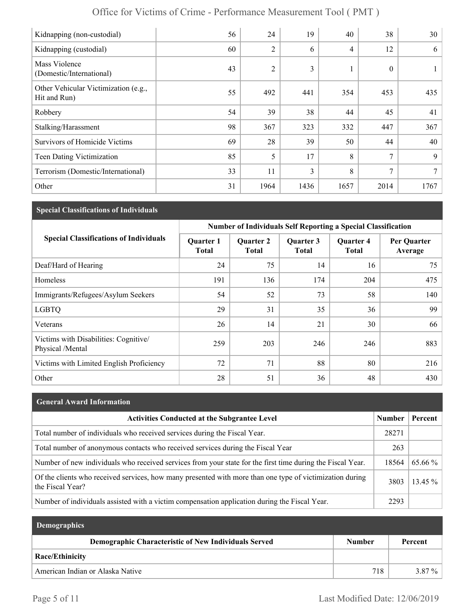| Office for Victims of Crime - Performance Measurement Tool (PMT) |  |
|------------------------------------------------------------------|--|
|------------------------------------------------------------------|--|

| Kidnapping (non-custodial)                           | 56 | 24             | 19   | 40             | 38       | 30   |
|------------------------------------------------------|----|----------------|------|----------------|----------|------|
| Kidnapping (custodial)                               | 60 | $\overline{2}$ | 6    | $\overline{4}$ | 12       | 6    |
| Mass Violence<br>(Domestic/International)            | 43 | $\overline{2}$ | 3    |                | $\theta$ | 1    |
| Other Vehicular Victimization (e.g.,<br>Hit and Run) | 55 | 492            | 441  | 354            | 453      | 435  |
| Robbery                                              | 54 | 39             | 38   | 44             | 45       | 41   |
| Stalking/Harassment                                  | 98 | 367            | 323  | 332            | 447      | 367  |
| <b>Survivors of Homicide Victims</b>                 | 69 | 28             | 39   | 50             | 44       | 40   |
| Teen Dating Victimization                            | 85 | 5              | 17   | 8              | 7        | 9    |
| Terrorism (Domestic/International)                   | 33 | 11             | 3    | 8              | $\tau$   | 7    |
| Other                                                | 31 | 1964           | 1436 | 1657           | 2014     | 1767 |

## **Special Classifications of Individuals**

|                                                           | <b>Number of Individuals Self Reporting a Special Classification</b> |                                  |                           |                                  |                        |
|-----------------------------------------------------------|----------------------------------------------------------------------|----------------------------------|---------------------------|----------------------------------|------------------------|
| <b>Special Classifications of Individuals</b>             | <b>Quarter 1</b><br><b>Total</b>                                     | <b>Quarter 2</b><br><b>Total</b> | Quarter 3<br><b>Total</b> | <b>Quarter 4</b><br><b>Total</b> | Per Quarter<br>Average |
| Deaf/Hard of Hearing                                      | 24                                                                   | 75                               | 14                        | 16                               | 75                     |
| Homeless                                                  | 191                                                                  | 136                              | 174                       | 204                              | 475                    |
| Immigrants/Refugees/Asylum Seekers                        | 54                                                                   | 52                               | 73                        | 58                               | 140                    |
| <b>LGBTQ</b>                                              | 29                                                                   | 31                               | 35                        | 36                               | 99                     |
| Veterans                                                  | 26                                                                   | 14                               | 21                        | 30                               | 66                     |
| Victims with Disabilities: Cognitive/<br>Physical /Mental | 259                                                                  | 203                              | 246                       | 246                              | 883                    |
| Victims with Limited English Proficiency                  | 72                                                                   | 71                               | 88                        | 80                               | 216                    |
| Other                                                     | 28                                                                   | 51                               | 36                        | 48                               | 430                    |

| <b>General Award Information</b>                                                                                             |       |           |
|------------------------------------------------------------------------------------------------------------------------------|-------|-----------|
| <b>Activities Conducted at the Subgrantee Level</b>                                                                          |       | Percent   |
| Total number of individuals who received services during the Fiscal Year.                                                    | 28271 |           |
| Total number of anonymous contacts who received services during the Fiscal Year                                              | 263   |           |
| Number of new individuals who received services from your state for the first time during the Fiscal Year.                   | 18564 | 65.66 %   |
| Of the clients who received services, how many presented with more than one type of victimization during<br>the Fiscal Year? | 3803  | $13.45\%$ |
| Number of individuals assisted with a victim compensation application during the Fiscal Year.                                | 2293  |           |

| <b>Demographics</b>                                         |               |                       |
|-------------------------------------------------------------|---------------|-----------------------|
| <b>Demographic Characteristic of New Individuals Served</b> | <b>Number</b> | Percent               |
| Race/Ethinicity                                             |               |                       |
| American Indian or Alaska Native                            | 718           | $\frac{0}{0}$<br>3.87 |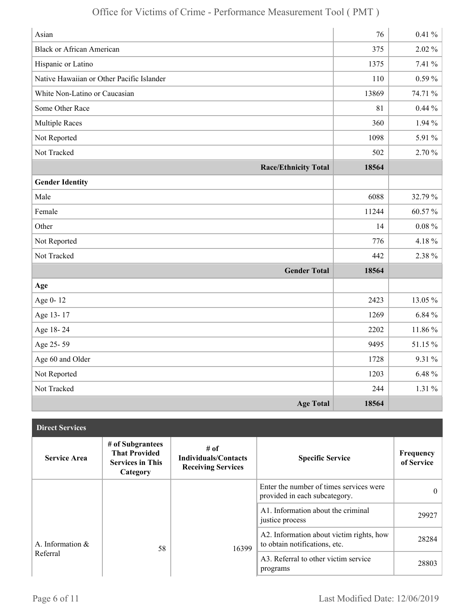| Asian                                     | 76    | $0.41 \%$ |
|-------------------------------------------|-------|-----------|
| <b>Black or African American</b>          | 375   | $2.02\%$  |
| Hispanic or Latino                        | 1375  | 7.41 %    |
| Native Hawaiian or Other Pacific Islander | 110   | $0.59\%$  |
| White Non-Latino or Caucasian             | 13869 | 74.71 %   |
| Some Other Race                           | 81    | $0.44\%$  |
| <b>Multiple Races</b>                     | 360   | $1.94\%$  |
| Not Reported                              | 1098  | 5.91 %    |
| Not Tracked                               | 502   | 2.70 %    |
| <b>Race/Ethnicity Total</b>               | 18564 |           |
| <b>Gender Identity</b>                    |       |           |
| Male                                      | 6088  | 32.79 %   |
| Female                                    | 11244 | 60.57%    |
| Other                                     | 14    | $0.08 \%$ |
| Not Reported                              | 776   | 4.18%     |
| Not Tracked                               | 442   | 2.38 %    |
| <b>Gender Total</b>                       | 18564 |           |
| Age                                       |       |           |
| Age 0-12                                  | 2423  | 13.05 %   |
| Age 13-17                                 | 1269  | 6.84%     |
| Age 18-24                                 | 2202  | 11.86 %   |
| Age 25-59                                 | 9495  | 51.15 %   |
| Age 60 and Older                          | 1728  | 9.31 %    |
| Not Reported                              | 1203  | $6.48 \%$ |
| Not Tracked                               | 244   | $1.31\%$  |
| <b>Age Total</b>                          | 18564 |           |

| <b>Direct Services</b> |                                                                                 |                                                                  |                                                                           |                         |
|------------------------|---------------------------------------------------------------------------------|------------------------------------------------------------------|---------------------------------------------------------------------------|-------------------------|
| <b>Service Area</b>    | # of Subgrantees<br><b>That Provided</b><br><b>Services in This</b><br>Category | # of<br><b>Individuals/Contacts</b><br><b>Receiving Services</b> | <b>Specific Service</b>                                                   | Frequency<br>of Service |
|                        |                                                                                 |                                                                  | Enter the number of times services were<br>provided in each subcategory.  | $\theta$                |
|                        |                                                                                 |                                                                  | A1. Information about the criminal<br>justice process                     | 29927                   |
| A. Information $\&$    | 58                                                                              | 16399                                                            | A2. Information about victim rights, how<br>to obtain notifications, etc. | 28284                   |
| Referral               |                                                                                 |                                                                  | A3. Referral to other victim service<br>programs                          | 28803                   |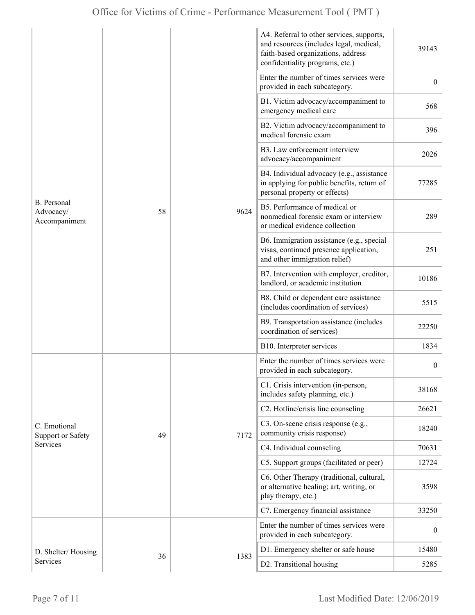|                                                 |    |                                                                          | A4. Referral to other services, supports,<br>and resources (includes legal, medical,<br>faith-based organizations, address<br>confidentiality programs, etc.) | 39143            |
|-------------------------------------------------|----|--------------------------------------------------------------------------|---------------------------------------------------------------------------------------------------------------------------------------------------------------|------------------|
|                                                 |    | Enter the number of times services were<br>provided in each subcategory. | $\overline{0}$                                                                                                                                                |                  |
|                                                 |    | 9624                                                                     | B1. Victim advocacy/accompaniment to<br>emergency medical care                                                                                                | 568              |
|                                                 |    |                                                                          | B2. Victim advocacy/accompaniment to<br>medical forensic exam                                                                                                 | 396              |
|                                                 |    |                                                                          | B3. Law enforcement interview<br>advocacy/accompaniment                                                                                                       | 2026             |
|                                                 |    |                                                                          | B4. Individual advocacy (e.g., assistance<br>in applying for public benefits, return of<br>personal property or effects)                                      | 77285            |
| B. Personal<br>58<br>Advocacy/<br>Accompaniment |    |                                                                          | B5. Performance of medical or<br>nonmedical forensic exam or interview<br>or medical evidence collection                                                      | 289              |
|                                                 |    |                                                                          | B6. Immigration assistance (e.g., special<br>visas, continued presence application,<br>and other immigration relief)                                          | 251              |
|                                                 |    |                                                                          | B7. Intervention with employer, creditor,<br>landlord, or academic institution                                                                                | 10186            |
|                                                 |    |                                                                          | B8. Child or dependent care assistance<br>(includes coordination of services)                                                                                 | 5515             |
|                                                 |    |                                                                          | B9. Transportation assistance (includes<br>coordination of services)                                                                                          | 22250            |
|                                                 |    |                                                                          | B10. Interpreter services                                                                                                                                     | 1834             |
|                                                 |    |                                                                          | Enter the number of times services were<br>provided in each subcategory.                                                                                      | $\boldsymbol{0}$ |
|                                                 |    |                                                                          | C1. Crisis intervention (in-person,<br>includes safety planning, etc.)                                                                                        | 38168            |
|                                                 |    |                                                                          | C2. Hotline/crisis line counseling                                                                                                                            | 26621            |
| C. Emotional<br><b>Support or Safety</b>        | 49 | 7172                                                                     | C3. On-scene crisis response (e.g.,<br>community crisis response)                                                                                             | 18240            |
| Services                                        |    |                                                                          | C4. Individual counseling                                                                                                                                     | 70631            |
|                                                 |    |                                                                          | C5. Support groups (facilitated or peer)                                                                                                                      | 12724            |
|                                                 |    |                                                                          | C6. Other Therapy (traditional, cultural,<br>or alternative healing; art, writing, or<br>play therapy, etc.)                                                  | 3598             |
|                                                 |    |                                                                          | C7. Emergency financial assistance                                                                                                                            | 33250            |
|                                                 |    | 1383                                                                     | Enter the number of times services were<br>provided in each subcategory.                                                                                      | $\boldsymbol{0}$ |
| D. Shelter/Housing                              |    |                                                                          | D1. Emergency shelter or safe house                                                                                                                           | 15480            |
| Services                                        | 36 |                                                                          | D2. Transitional housing                                                                                                                                      | 5285             |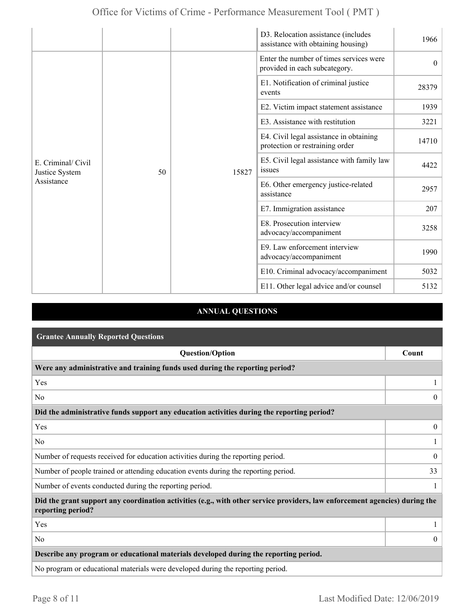|                                                          |  |                                                     | D3. Relocation assistance (includes<br>assistance with obtaining housing)  | 1966     |
|----------------------------------------------------------|--|-----------------------------------------------------|----------------------------------------------------------------------------|----------|
| E. Criminal/ Civil<br>50<br>Justice System<br>Assistance |  | 15827                                               | Enter the number of times services were<br>provided in each subcategory.   | $\theta$ |
|                                                          |  |                                                     | E1. Notification of criminal justice<br>events                             | 28379    |
|                                                          |  |                                                     | E2. Victim impact statement assistance                                     | 1939     |
|                                                          |  |                                                     | E3. Assistance with restitution                                            | 3221     |
|                                                          |  |                                                     | E4. Civil legal assistance in obtaining<br>protection or restraining order | 14710    |
|                                                          |  |                                                     | E5. Civil legal assistance with family law<br>issues                       | 4422     |
|                                                          |  |                                                     | E6. Other emergency justice-related<br>assistance                          | 2957     |
|                                                          |  |                                                     | E7. Immigration assistance                                                 | 207      |
|                                                          |  | E8. Prosecution interview<br>advocacy/accompaniment | 3258                                                                       |          |
|                                                          |  |                                                     | E9. Law enforcement interview<br>advocacy/accompaniment                    | 1990     |
|                                                          |  |                                                     | E10. Criminal advocacy/accompaniment                                       | 5032     |
|                                                          |  |                                                     | E11. Other legal advice and/or counsel                                     | 5132     |

## **ANNUAL QUESTIONS**

| <b>Grantee Annually Reported Questions</b>                                                                                                       |                |  |  |
|--------------------------------------------------------------------------------------------------------------------------------------------------|----------------|--|--|
| <b>Question/Option</b>                                                                                                                           | Count          |  |  |
| Were any administrative and training funds used during the reporting period?                                                                     |                |  |  |
| Yes                                                                                                                                              |                |  |  |
| N <sub>0</sub>                                                                                                                                   | $\theta$       |  |  |
| Did the administrative funds support any education activities during the reporting period?                                                       |                |  |  |
| Yes                                                                                                                                              | $\overline{0}$ |  |  |
| N <sub>0</sub>                                                                                                                                   |                |  |  |
| Number of requests received for education activities during the reporting period.                                                                | $\overline{0}$ |  |  |
| Number of people trained or attending education events during the reporting period.                                                              | 33             |  |  |
| Number of events conducted during the reporting period.                                                                                          |                |  |  |
| Did the grant support any coordination activities (e.g., with other service providers, law enforcement agencies) during the<br>reporting period? |                |  |  |
| Yes                                                                                                                                              |                |  |  |
| N <sub>0</sub>                                                                                                                                   | $\overline{0}$ |  |  |
| Describe any program or educational materials developed during the reporting period.                                                             |                |  |  |
| No program or educational materials were developed during the reporting period.                                                                  |                |  |  |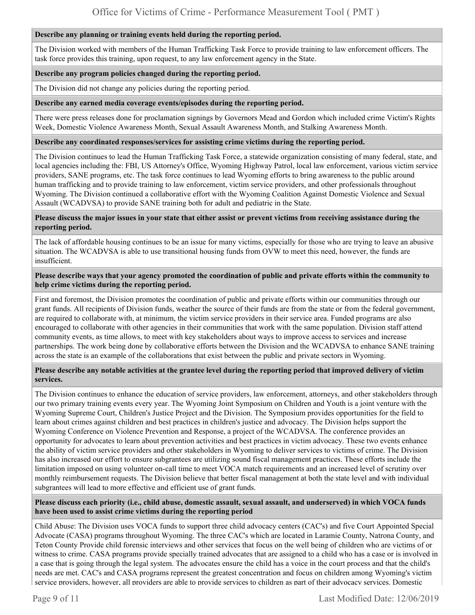#### **Describe any planning or training events held during the reporting period.**

The Division worked with members of the Human Trafficking Task Force to provide training to law enforcement officers. The task force provides this training, upon request, to any law enforcement agency in the State.

#### **Describe any program policies changed during the reporting period.**

The Division did not change any policies during the reporting period.

#### **Describe any earned media coverage events/episodes during the reporting period.**

There were press releases done for proclamation signings by Governors Mead and Gordon which included crime Victim's Rights Week, Domestic Violence Awareness Month, Sexual Assault Awareness Month, and Stalking Awareness Month.

#### **Describe any coordinated responses/services for assisting crime victims during the reporting period.**

The Division continues to lead the Human Trafficking Task Force, a statewide organization consisting of many federal, state, and local agencies including the: FBI, US Attorney's Office, Wyoming Highway Patrol, local law enforcement, various victim service providers, SANE programs, etc. The task force continues to lead Wyoming efforts to bring awareness to the public around human trafficking and to provide training to law enforcement, victim service providers, and other professionals throughout Wyoming. The Division continued a collaborative effort with the Wyoming Coalition Against Domestic Violence and Sexual Assault (WCADVSA) to provide SANE training both for adult and pediatric in the State.

#### **Please discuss the major issues in your state that either assist or prevent victims from receiving assistance during the reporting period.**

The lack of affordable housing continues to be an issue for many victims, especially for those who are trying to leave an abusive situation. The WCADVSA is able to use transitional housing funds from OVW to meet this need, however, the funds are insufficient.

#### **Please describe ways that your agency promoted the coordination of public and private efforts within the community to help crime victims during the reporting period.**

First and foremost, the Division promotes the coordination of public and private efforts within our communities through our grant funds. All recipients of Division funds, weather the source of their funds are from the state or from the federal government, are required to collaborate with, at minimum, the victim service providers in their service area. Funded programs are also encouraged to collaborate with other agencies in their communities that work with the same population. Division staff attend community events, as time allows, to meet with key stakeholders about ways to improve access to services and increase partnerships. The work being done by collaborative efforts between the Division and the WCADVSA to enhance SANE training across the state is an example of the collaborations that exist between the public and private sectors in Wyoming.

#### **Please describe any notable activities at the grantee level during the reporting period that improved delivery of victim services.**

The Division continues to enhance the education of service providers, law enforcement, attorneys, and other stakeholders through our two primary training events every year. The Wyoming Joint Symposium on Children and Youth is a joint venture with the Wyoming Supreme Court, Children's Justice Project and the Division. The Symposium provides opportunities for the field to learn about crimes against children and best practices in children's justice and advocacy. The Division helps support the Wyoming Conference on Violence Prevention and Response, a project of the WCADVSA. The conference provides an opportunity for advocates to learn about prevention activities and best practices in victim advocacy. These two events enhance the ability of victim service providers and other stakeholders in Wyoming to deliver services to victims of crime. The Division has also increased our effort to ensure subgrantees are utilizing sound fiscal management practices. These efforts include the limitation imposed on using volunteer on-call time to meet VOCA match requirements and an increased level of scrutiny over monthly reimbursement requests. The Division believe that better fiscal management at both the state level and with individual subgrantees will lead to more effective and efficient use of grant funds.

#### **Please discuss each priority (i.e., child abuse, domestic assault, sexual assault, and underserved) in which VOCA funds have been used to assist crime victims during the reporting period**

Child Abuse: The Division uses VOCA funds to support three child advocacy centers (CAC's) and five Court Appointed Special Advocate (CASA) programs throughout Wyoming. The three CAC's which are located in Laramie County, Natrona County, and Teton County Provide child forensic interviews and other services that focus on the well being of children who are victims of or witness to crime. CASA programs provide specially trained advocates that are assigned to a child who has a case or is involved in a case that is going through the legal system. The advocates ensure the child has a voice in the court process and that the child's needs are met. CAC's and CASA programs represent the greatest concentration and focus on children among Wyoming's victim service providers, however, all providers are able to provide services to children as part of their advocacy services. Domestic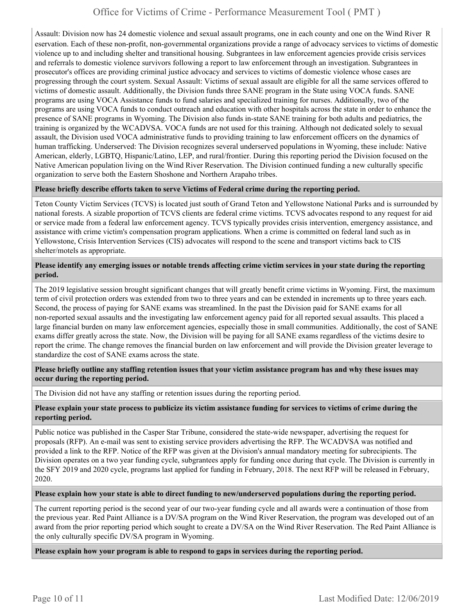Assault: Division now has 24 domestic violence and sexual assault programs, one in each county and one on the Wind River R eservation. Each of these non-profit, non-governmental organizations provide a range of advocacy services to victims of domestic violence up to and including shelter and transitional housing. Subgrantees in law enforcement agencies provide crisis services and referrals to domestic violence survivors following a report to law enforcement through an investigation. Subgrantees in prosecutor's offices are providing criminal justice advocacy and services to victims of domestic violence whose cases are progressing through the court system. Sexual Assault: Victims of sexual assault are eligible for all the same services offered to victims of domestic assault. Additionally, the Division funds three SANE program in the State using VOCA funds. SANE programs are using VOCA Assistance funds to fund salaries and specialized training for nurses. Additionally, two of the programs are using VOCA funds to conduct outreach and education with other hospitals across the state in order to enhance the presence of SANE programs in Wyoming. The Division also funds in-state SANE training for both adults and pediatrics, the training is organized by the WCADVSA. VOCA funds are not used for this training. Although not dedicated solely to sexual assault, the Division used VOCA administrative funds to providing training to law enforcement officers on the dynamics of human trafficking. Underserved: The Division recognizes several underserved populations in Wyoming, these include: Native American, elderly, LGBTQ, Hispanic/Latino, LEP, and rural/frontier. During this reporting period the Division focused on the Native American population living on the Wind River Reservation. The Division continued funding a new culturally specific organization to serve both the Eastern Shoshone and Northern Arapaho tribes.

#### **Please briefly describe efforts taken to serve Victims of Federal crime during the reporting period.**

Teton County Victim Services (TCVS) is located just south of Grand Teton and Yellowstone National Parks and is surrounded by national forests. A sizable proportion of TCVS clients are federal crime victims. TCVS advocates respond to any request for aid or service made from a federal law enforcement agency. TCVS typically provides crisis intervention, emergency assistance, and assistance with crime victim's compensation program applications. When a crime is committed on federal land such as in Yellowstone, Crisis Intervention Services (CIS) advocates will respond to the scene and transport victims back to CIS shelter/motels as appropriate.

#### **Please identify any emerging issues or notable trends affecting crime victim services in your state during the reporting period.**

The 2019 legislative session brought significant changes that will greatly benefit crime victims in Wyoming. First, the maximum term of civil protection orders was extended from two to three years and can be extended in increments up to three years each. Second, the process of paying for SANE exams was streamlined. In the past the Division paid for SANE exams for all non-reported sexual assaults and the investigating law enforcement agency paid for all reported sexual assaults. This placed a large financial burden on many law enforcement agencies, especially those in small communities. Additionally, the cost of SANE exams differ greatly across the state. Now, the Division will be paying for all SANE exams regardless of the victims desire to report the crime. The change removes the financial burden on law enforcement and will provide the Division greater leverage to standardize the cost of SANE exams across the state.

**Please briefly outline any staffing retention issues that your victim assistance program has and why these issues may occur during the reporting period.** 

The Division did not have any staffing or retention issues during the reporting period.

#### **Please explain your state process to publicize its victim assistance funding for services to victims of crime during the reporting period.**

Public notice was published in the Casper Star Tribune, considered the state-wide newspaper, advertising the request for proposals (RFP). An e-mail was sent to existing service providers advertising the RFP. The WCADVSA was notified and provided a link to the RFP. Notice of the RFP was given at the Division's annual mandatory meeting for subrecipients. The Division operates on a two year funding cycle, subgrantees apply for funding once during that cycle. The Division is currently in the SFY 2019 and 2020 cycle, programs last applied for funding in February, 2018. The next RFP will be released in February, 2020.

#### **Please explain how your state is able to direct funding to new/underserved populations during the reporting period.**

The current reporting period is the second year of our two-year funding cycle and all awards were a continuation of those from the previous year. Red Paint Alliance is a DV/SA program on the Wind River Reservation, the program was developed out of an award from the prior reporting period which sought to create a DV/SA on the Wind River Reservation. The Red Paint Alliance is the only culturally specific DV/SA program in Wyoming.

**Please explain how your program is able to respond to gaps in services during the reporting period.**